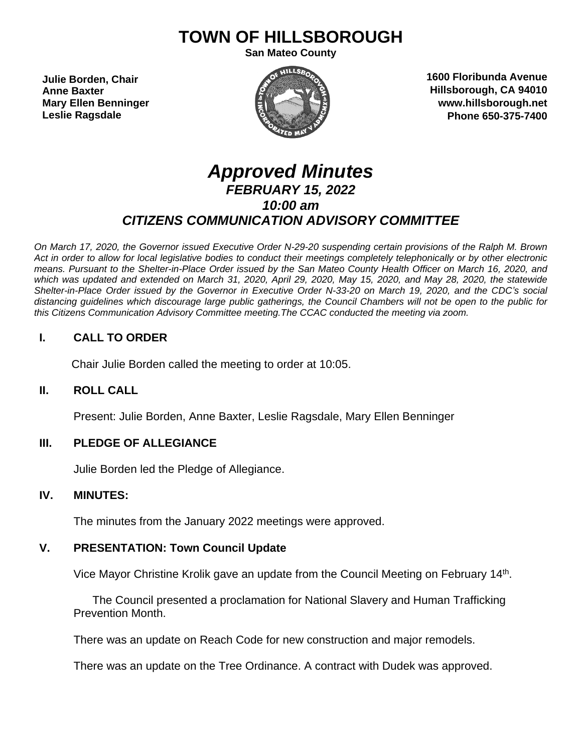# **TOWN OF HILLSBOROUGH**

**San Mateo County**

**Julie Borden, Chair Anne Baxter Mary Ellen Benninger Leslie Ragsdale**



**1600 Floribunda Avenue Hillsborough, CA 94010 www.hillsborough.net Phone 650-375-7400**

# *Approved Minutes FEBRUARY 15, 2022 10:00 am CITIZENS COMMUNICATION ADVISORY COMMITTEE*

On March 17, 2020, the Governor issued Executive Order N-29-20 suspending certain provisions of the Ralph M. Brown Act in order to allow for local legislative bodies to conduct their meetings completely telephonically or by other electronic means. Pursuant to the Shelter-in-Place Order issued by the San Mateo County Health Officer on March 16, 2020, and which was updated and extended on March 31, 2020, April 29, 2020, May 15, 2020, and May 28, 2020, the statewide Shelter-in-Place Order issued by the Governor in Executive Order N-33-20 on March 19, 2020, and the CDC's social distancing guidelines which discourage large public gatherings, the Council Chambers will not be open to the public for *this Citizens Communication Advisory Committee meeting.The CCAC conducted the meeting via zoom.*

## **I. CALL TO ORDER**

Chair Julie Borden called the meeting to order at 10:05.

#### **II. ROLL CALL**

Present: Julie Borden, Anne Baxter, Leslie Ragsdale, Mary Ellen Benninger

#### **III. PLEDGE OF ALLEGIANCE**

Julie Borden led the Pledge of Allegiance.

#### **IV. MINUTES:**

The minutes from the January 2022 meetings were approved.

#### **V. PRESENTATION: Town Council Update**

Vice Mayor Christine Krolik gave an update from the Council Meeting on February 14<sup>th</sup>.

 The Council presented a proclamation for National Slavery and Human Trafficking Prevention Month.

There was an update on Reach Code for new construction and major remodels.

There was an update on the Tree Ordinance. A contract with Dudek was approved.